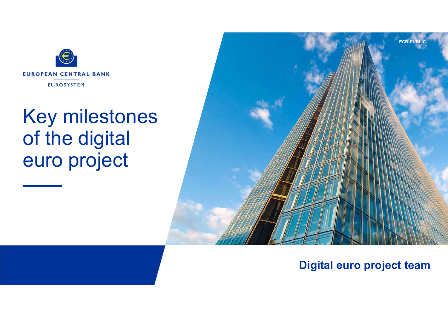

## Key milestones of the digital euro project



## Digital euro project team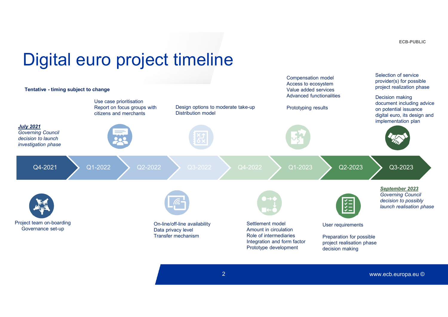ECB-PUBLIC